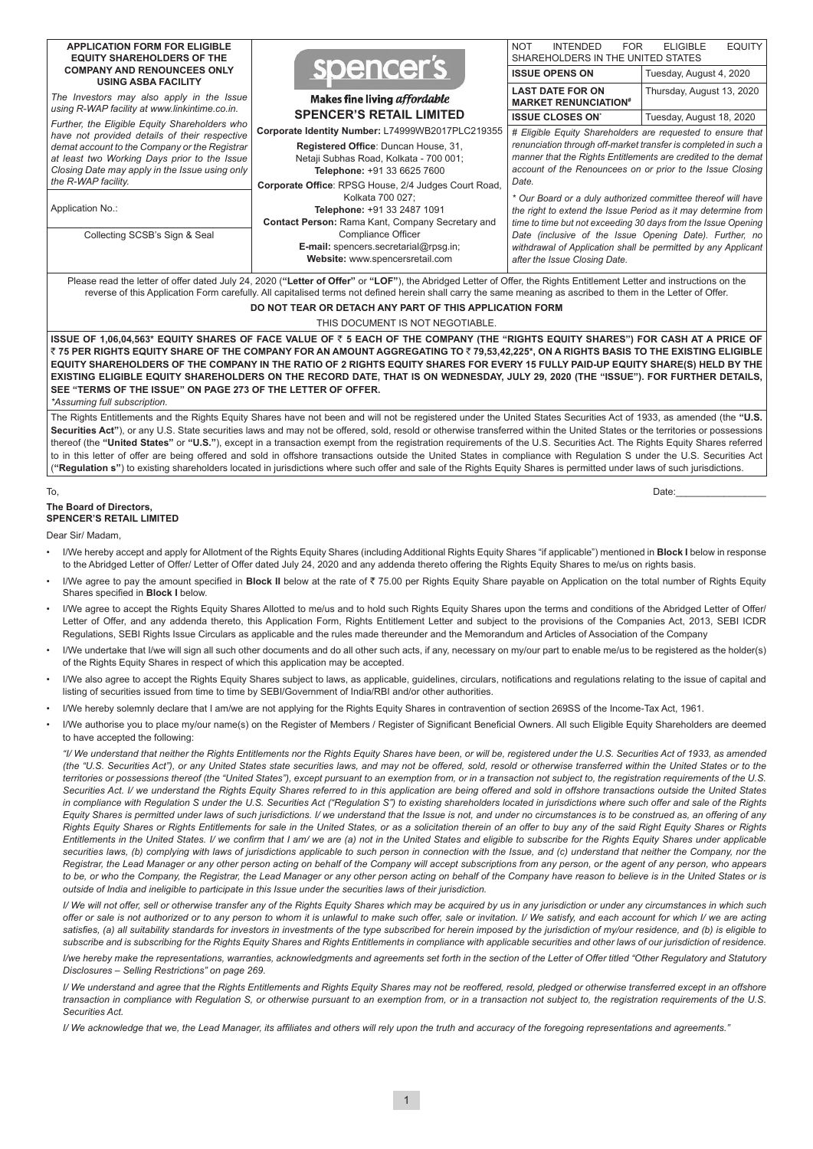| <b>APPLICATION FORM FOR ELIGIBLE</b><br><b>EQUITY SHAREHOLDERS OF THE</b>                      |                                                                                                                                                                                                                                                                          | <b>NOT</b><br><b>INTENDED</b><br><b>FOR</b><br>SHAREHOLDERS IN THE UNITED STATES                                                                                                                        | <b>EQUITY</b><br><b>ELIGIBLE</b> |  |  |  |  |  |  |  |
|------------------------------------------------------------------------------------------------|--------------------------------------------------------------------------------------------------------------------------------------------------------------------------------------------------------------------------------------------------------------------------|---------------------------------------------------------------------------------------------------------------------------------------------------------------------------------------------------------|----------------------------------|--|--|--|--|--|--|--|
| <b>COMPANY AND RENOUNCEES ONLY</b><br><b>USING ASBA FACILITY</b>                               | spencer's                                                                                                                                                                                                                                                                | <b>ISSUE OPENS ON</b>                                                                                                                                                                                   | Tuesday, August 4, 2020          |  |  |  |  |  |  |  |
| The Investors may also apply in the Issue                                                      | <b>Makes fine living affordable</b>                                                                                                                                                                                                                                      | <b>LAST DATE FOR ON</b><br><b>MARKET RENUNCIATION#</b>                                                                                                                                                  | Thursday, August 13, 2020        |  |  |  |  |  |  |  |
| using R-WAP facility at www.linkintime.co.in.                                                  | <b>SPENCER'S RETAIL LIMITED</b>                                                                                                                                                                                                                                          | <b>ISSUE CLOSES ON'</b>                                                                                                                                                                                 | Tuesday, August 18, 2020         |  |  |  |  |  |  |  |
| Further, the Eligible Equity Shareholders who                                                  | Corporate Identity Number: L74999WB2017PLC219355                                                                                                                                                                                                                         | # Eligible Equity Shareholders are requested to ensure that                                                                                                                                             |                                  |  |  |  |  |  |  |  |
| have not provided details of their respective<br>demat account to the Company or the Registrar | Registered Office: Duncan House, 31,                                                                                                                                                                                                                                     | renunciation through off-market transfer is completed in such a<br>manner that the Rights Entitlements are credited to the demat<br>account of the Renouncees on or prior to the Issue Closing<br>Date. |                                  |  |  |  |  |  |  |  |
| at least two Working Days prior to the Issue                                                   | Netaji Subhas Road, Kolkata - 700 001;                                                                                                                                                                                                                                   |                                                                                                                                                                                                         |                                  |  |  |  |  |  |  |  |
| Closing Date may apply in the Issue using only<br>the R-WAP facility.                          | Telephone: +91 33 6625 7600                                                                                                                                                                                                                                              |                                                                                                                                                                                                         |                                  |  |  |  |  |  |  |  |
|                                                                                                | Corporate Office: RPSG House, 2/4 Judges Court Road,<br>Kolkata 700 027;                                                                                                                                                                                                 | * Our Board or a duly authorized committee thereof will have<br>the right to extend the Issue Period as it may determine from                                                                           |                                  |  |  |  |  |  |  |  |
| Application No.:                                                                               | Telephone: +91 33 2487 1091                                                                                                                                                                                                                                              |                                                                                                                                                                                                         |                                  |  |  |  |  |  |  |  |
| Collecting SCSB's Sign & Seal                                                                  | Contact Person: Rama Kant, Company Secretary and<br><b>Compliance Officer</b>                                                                                                                                                                                            | time to time but not exceeding 30 days from the Issue Opening<br>Date (inclusive of the Issue Opening Date). Further, no                                                                                |                                  |  |  |  |  |  |  |  |
|                                                                                                | E-mail: spencers.secretarial@rpsg.in;                                                                                                                                                                                                                                    | withdrawal of Application shall be permitted by any Applicant                                                                                                                                           |                                  |  |  |  |  |  |  |  |
|                                                                                                | Website: www.spencersretail.com                                                                                                                                                                                                                                          | after the Issue Closing Date.                                                                                                                                                                           |                                  |  |  |  |  |  |  |  |
|                                                                                                | Please read the letter of offer dated July 24, 2020 ("Letter of Offer" or "LOF"), the Abridged Letter of Offer, the Rights Entitlement Letter and instructions on the                                                                                                    |                                                                                                                                                                                                         |                                  |  |  |  |  |  |  |  |
|                                                                                                | reverse of this Application Form carefully. All capitalised terms not defined herein shall carry the same meaning as ascribed to them in the Letter of Offer.                                                                                                            |                                                                                                                                                                                                         |                                  |  |  |  |  |  |  |  |
|                                                                                                | DO NOT TEAR OR DETACH ANY PART OF THIS APPLICATION FORM                                                                                                                                                                                                                  |                                                                                                                                                                                                         |                                  |  |  |  |  |  |  |  |
| THIS DOCUMENT IS NOT NEGOTIABLE.                                                               |                                                                                                                                                                                                                                                                          |                                                                                                                                                                                                         |                                  |  |  |  |  |  |  |  |
|                                                                                                | ISSUE OF 1,06,04,563* EQUITY SHARES OF FACE VALUE OF ₹ 5 EACH OF THE COMPANY (THE "RIGHTS EQUITY SHARES") FOR CASH AT A PRICE OF<br>₹ 75 PER RIGHTS EQUITY SHARE OF THE COMPANY FOR AN AMOUNT AGGREGATING TO ₹ 79,53,42,225*, ON A RIGHTS BASIS TO THE EXISTING ELIGIBLE |                                                                                                                                                                                                         |                                  |  |  |  |  |  |  |  |
|                                                                                                | EQUITY SHAREHOLDERS OF THE COMPANY IN THE RATIO OF 2 RIGHTS EQUITY SHARES FOR EVERY 15 FULLY PAID-UP EQUITY SHARE(S) HELD BY THE                                                                                                                                         |                                                                                                                                                                                                         |                                  |  |  |  |  |  |  |  |
|                                                                                                | EXISTING ELIGIBLE EQUITY SHAREHOLDERS ON THE RECORD DATE, THAT IS ON WEDNESDAY, JULY 29, 2020 (THE "ISSUE"). FOR FURTHER DETAILS,                                                                                                                                        |                                                                                                                                                                                                         |                                  |  |  |  |  |  |  |  |

**SEE "TERMS OF THE ISSUE" ON PAGE 273 OF THE LETTER OF OFFER.** *\*Assuming full subscription.*

The Rights Entitlements and the Rights Equity Shares have not been and will not be registered under the United States Securities Act of 1933, as amended (the **"U.S.**  Securities Act"), or any U.S. State securities laws and may not be offered, sold, resold or otherwise transferred within the United States or the territories or possessions thereof (the **"United States"** or **"U.S."**), except in a transaction exempt from the registration requirements of the U.S. Securities Act. The Rights Equity Shares referred to in this letter of offer are being offered and sold in offshore transactions outside the United States in compliance with Regulation S under the U.S. Securities Act (**"Regulation s"**) to existing shareholders located in jurisdictions where such offer and sale of the Rights Equity Shares is permitted under laws of such jurisdictions.

#### To, Date:\_\_\_\_\_\_\_\_\_\_\_\_\_\_\_\_\_

#### **The Board of Directors, SPENCER'S RETAIL LIMITED**

Dear Sir/ Madam,

- I/We hereby accept and apply for Allotment of the Rights Equity Shares (including Additional Rights Equity Shares "if applicable") mentioned in **Block I** below in response to the Abridged Letter of Offer/ Letter of Offer dated July 24, 2020 and any addenda thereto offering the Rights Equity Shares to me/us on rights basis.
- I/We agree to pay the amount specified in **Block II** below at the rate of ₹75.00 per Rights Equity Share payable on Application on the total number of Rights Equity Shares specified in **Block I** below.
- I/We agree to accept the Rights Equity Shares Allotted to me/us and to hold such Rights Equity Shares upon the terms and conditions of the Abridged Letter of Offer/ Letter of Offer, and any addenda thereto, this Application Form, Rights Entitlement Letter and subject to the provisions of the Companies Act, 2013, SEBI ICDR Regulations, SEBI Rights Issue Circulars as applicable and the rules made thereunder and the Memorandum and Articles of Association of the Company
- I/We undertake that I/we will sign all such other documents and do all other such acts, if any, necessary on my/our part to enable me/us to be registered as the holder(s) of the Rights Equity Shares in respect of which this application may be accepted.
- I/We also agree to accept the Rights Equity Shares subject to laws, as applicable, guidelines, circulars, notifications and regulations relating to the issue of capital and listing of securities issued from time to time by SEBI/Government of India/RBI and/or other authorities.
- I/We hereby solemnly declare that I am/we are not applying for the Rights Equity Shares in contravention of section 269SS of the Income-Tax Act, 1961.
- I/We authorise you to place my/our name(s) on the Register of Members / Register of Significant Beneficial Owners. All such Eligible Equity Shareholders are deemed to have accepted the following:

*"I/ We understand that neither the Rights Entitlements nor the Rights Equity Shares have been, or will be, registered under the U.S. Securities Act of 1933, as amended (the "U.S. Securities Act"), or any United States state securities laws, and may not be offered, sold, resold or otherwise transferred within the United States or to the territories or possessions thereof (the "United States"), except pursuant to an exemption from, or in a transaction not subject to, the registration requirements of the U.S. Securities Act. I/ we understand the Rights Equity Shares referred to in this application are being offered and sold in offshore transactions outside the United States*  in compliance with Regulation S under the U.S. Securities Act ("Regulation S") to existing shareholders located in jurisdictions where such offer and sale of the Rights *Equity Shares is permitted under laws of such jurisdictions. I/ we understand that the Issue is not, and under no circumstances is to be construed as, an offering of any Rights Equity Shares or Rights Entitlements for sale in the United States, or as a solicitation therein of an offer to buy any of the said Right Equity Shares or Rights Entitlements in the United States. I/ we confirm that I am/ we are (a) not in the United States and eligible to subscribe for the Rights Equity Shares under applicable*  securities laws, (b) complying with laws of jurisdictions applicable to such person in connection with the Issue, and (c) understand that neither the Company, nor the *Registrar, the Lead Manager or any other person acting on behalf of the Company will accept subscriptions from any person, or the agent of any person, who appears*  to be, or who the Company, the Registrar, the Lead Manager or any other person acting on behalf of the Company have reason to believe is in the United States or is *outside of India and ineligible to participate in this Issue under the securities laws of their jurisdiction.*

*I/ We will not offer, sell or otherwise transfer any of the Rights Equity Shares which may be acquired by us in any jurisdiction or under any circumstances in which such offer or sale is not authorized or to any person to whom it is unlawful to make such offer, sale or invitation. I/ We satisfy, and each account for which I/ we are acting*  satisfies, (a) all suitability standards for investors in investments of the type subscribed for herein imposed by the jurisdiction of my/our residence, and (b) is eligible to *subscribe and is subscribing for the Rights Equity Shares and Rights Entitlements in compliance with applicable securities and other laws of our jurisdiction of residence.*

*I/we hereby make the representations, warranties, acknowledgments and agreements set forth in the section of the Letter of Offer titled "Other Regulatory and Statutory Disclosures – Selling Restrictions" on page 269.*

*I/ We understand and agree that the Rights Entitlements and Rights Equity Shares may not be reoffered, resold, pledged or otherwise transferred except in an offshore transaction in compliance with Regulation S, or otherwise pursuant to an exemption from, or in a transaction not subject to, the registration requirements of the U.S. Securities Act.*

*I/ We acknowledge that we, the Lead Manager, its affiliates and others will rely upon the truth and accuracy of the foregoing representations and agreements."*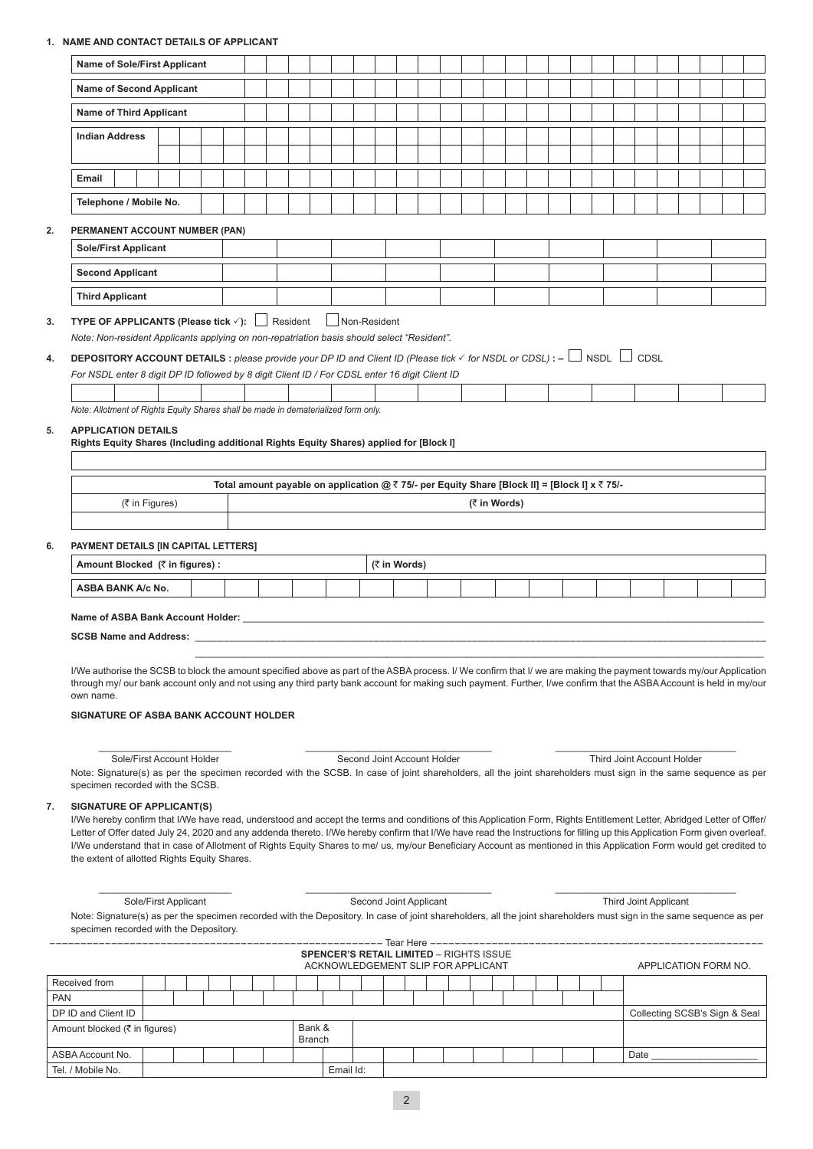# **1. NAME AND CONTACT DETAILS OF APPLICANT**

|    | <b>Name of Sole/First Applicant</b>                                                                                                                                                                                                                                                                                                                                                                                                                                                                                                                                         |  |  |  |  |                                                                                               |              |  |              |  |  |  |                       |                            |  |  |
|----|-----------------------------------------------------------------------------------------------------------------------------------------------------------------------------------------------------------------------------------------------------------------------------------------------------------------------------------------------------------------------------------------------------------------------------------------------------------------------------------------------------------------------------------------------------------------------------|--|--|--|--|-----------------------------------------------------------------------------------------------|--------------|--|--------------|--|--|--|-----------------------|----------------------------|--|--|
|    | <b>Name of Second Applicant</b>                                                                                                                                                                                                                                                                                                                                                                                                                                                                                                                                             |  |  |  |  |                                                                                               |              |  |              |  |  |  |                       |                            |  |  |
|    | <b>Name of Third Applicant</b>                                                                                                                                                                                                                                                                                                                                                                                                                                                                                                                                              |  |  |  |  |                                                                                               |              |  |              |  |  |  |                       |                            |  |  |
|    | <b>Indian Address</b>                                                                                                                                                                                                                                                                                                                                                                                                                                                                                                                                                       |  |  |  |  |                                                                                               |              |  |              |  |  |  |                       |                            |  |  |
|    |                                                                                                                                                                                                                                                                                                                                                                                                                                                                                                                                                                             |  |  |  |  |                                                                                               |              |  |              |  |  |  |                       |                            |  |  |
|    | Email                                                                                                                                                                                                                                                                                                                                                                                                                                                                                                                                                                       |  |  |  |  |                                                                                               |              |  |              |  |  |  |                       |                            |  |  |
|    | Telephone / Mobile No.                                                                                                                                                                                                                                                                                                                                                                                                                                                                                                                                                      |  |  |  |  |                                                                                               |              |  |              |  |  |  |                       |                            |  |  |
| 2. | PERMANENT ACCOUNT NUMBER (PAN)                                                                                                                                                                                                                                                                                                                                                                                                                                                                                                                                              |  |  |  |  |                                                                                               |              |  |              |  |  |  |                       |                            |  |  |
|    | <b>Sole/First Applicant</b>                                                                                                                                                                                                                                                                                                                                                                                                                                                                                                                                                 |  |  |  |  |                                                                                               |              |  |              |  |  |  |                       |                            |  |  |
|    | <b>Second Applicant</b>                                                                                                                                                                                                                                                                                                                                                                                                                                                                                                                                                     |  |  |  |  |                                                                                               |              |  |              |  |  |  |                       |                            |  |  |
|    | <b>Third Applicant</b>                                                                                                                                                                                                                                                                                                                                                                                                                                                                                                                                                      |  |  |  |  |                                                                                               |              |  |              |  |  |  |                       |                            |  |  |
| 3. | <b>TYPE OF APPLICANTS (Please tick <math>\checkmark</math>):</b> $\Box$ Resident                                                                                                                                                                                                                                                                                                                                                                                                                                                                                            |  |  |  |  | Non-Resident                                                                                  |              |  |              |  |  |  |                       |                            |  |  |
|    | Note: Non-resident Applicants applying on non-repatriation basis should select "Resident".                                                                                                                                                                                                                                                                                                                                                                                                                                                                                  |  |  |  |  |                                                                                               |              |  |              |  |  |  |                       |                            |  |  |
| 4. | <b>DEPOSITORY ACCOUNT DETAILS</b> : please provide your DP ID and Client ID (Please tick $\checkmark$ for NSDL or CDSL): $-\Box$ NSDL $\Box$ CDSL                                                                                                                                                                                                                                                                                                                                                                                                                           |  |  |  |  |                                                                                               |              |  |              |  |  |  |                       |                            |  |  |
|    | For NSDL enter 8 digit DP ID followed by 8 digit Client ID / For CDSL enter 16 digit Client ID                                                                                                                                                                                                                                                                                                                                                                                                                                                                              |  |  |  |  |                                                                                               |              |  |              |  |  |  |                       |                            |  |  |
|    | Note: Allotment of Rights Equity Shares shall be made in dematerialized form only.                                                                                                                                                                                                                                                                                                                                                                                                                                                                                          |  |  |  |  |                                                                                               |              |  |              |  |  |  |                       |                            |  |  |
| 5. | <b>APPLICATION DETAILS</b>                                                                                                                                                                                                                                                                                                                                                                                                                                                                                                                                                  |  |  |  |  |                                                                                               |              |  |              |  |  |  |                       |                            |  |  |
|    | Rights Equity Shares (Including additional Rights Equity Shares) applied for [Block I]                                                                                                                                                                                                                                                                                                                                                                                                                                                                                      |  |  |  |  |                                                                                               |              |  |              |  |  |  |                       |                            |  |  |
|    |                                                                                                                                                                                                                                                                                                                                                                                                                                                                                                                                                                             |  |  |  |  |                                                                                               |              |  |              |  |  |  |                       |                            |  |  |
|    |                                                                                                                                                                                                                                                                                                                                                                                                                                                                                                                                                                             |  |  |  |  | Total amount payable on application @ ₹ 75/- per Equity Share [Block II] = [Block I] x ₹ 75/- |              |  |              |  |  |  |                       |                            |  |  |
|    | (₹ in Figures)                                                                                                                                                                                                                                                                                                                                                                                                                                                                                                                                                              |  |  |  |  |                                                                                               |              |  | (₹ in Words) |  |  |  |                       |                            |  |  |
|    |                                                                                                                                                                                                                                                                                                                                                                                                                                                                                                                                                                             |  |  |  |  |                                                                                               |              |  |              |  |  |  |                       |                            |  |  |
| 6. | PAYMENT DETAILS [IN CAPITAL LETTERS]                                                                                                                                                                                                                                                                                                                                                                                                                                                                                                                                        |  |  |  |  |                                                                                               |              |  |              |  |  |  |                       |                            |  |  |
|    | Amount Blocked (₹ in figures) :                                                                                                                                                                                                                                                                                                                                                                                                                                                                                                                                             |  |  |  |  |                                                                                               | (₹ in Words) |  |              |  |  |  |                       |                            |  |  |
|    | <b>ASBA BANK A/c No.</b>                                                                                                                                                                                                                                                                                                                                                                                                                                                                                                                                                    |  |  |  |  |                                                                                               |              |  |              |  |  |  |                       |                            |  |  |
|    |                                                                                                                                                                                                                                                                                                                                                                                                                                                                                                                                                                             |  |  |  |  |                                                                                               |              |  |              |  |  |  |                       |                            |  |  |
|    |                                                                                                                                                                                                                                                                                                                                                                                                                                                                                                                                                                             |  |  |  |  |                                                                                               |              |  |              |  |  |  |                       |                            |  |  |
|    |                                                                                                                                                                                                                                                                                                                                                                                                                                                                                                                                                                             |  |  |  |  |                                                                                               |              |  |              |  |  |  |                       |                            |  |  |
|    | I/We authorise the SCSB to block the amount specified above as part of the ASBA process. I/We confirm that I/we are making the payment towards my/our Application<br>through my/ our bank account only and not using any third party bank account for making such payment. Further, I/we confirm that the ASBA Account is held in my/our                                                                                                                                                                                                                                    |  |  |  |  |                                                                                               |              |  |              |  |  |  |                       |                            |  |  |
|    | own name.                                                                                                                                                                                                                                                                                                                                                                                                                                                                                                                                                                   |  |  |  |  |                                                                                               |              |  |              |  |  |  |                       |                            |  |  |
|    | SIGNATURE OF ASBA BANK ACCOUNT HOLDER                                                                                                                                                                                                                                                                                                                                                                                                                                                                                                                                       |  |  |  |  |                                                                                               |              |  |              |  |  |  |                       |                            |  |  |
|    |                                                                                                                                                                                                                                                                                                                                                                                                                                                                                                                                                                             |  |  |  |  |                                                                                               |              |  |              |  |  |  |                       |                            |  |  |
|    | Sole/First Account Holder<br>Note: Signature(s) as per the specimen recorded with the SCSB. In case of joint shareholders, all the joint shareholders must sign in the same sequence as per<br>specimen recorded with the SCSB.                                                                                                                                                                                                                                                                                                                                             |  |  |  |  | Second Joint Account Holder                                                                   |              |  |              |  |  |  |                       | Third Joint Account Holder |  |  |
| 7. | <b>SIGNATURE OF APPLICANT(S)</b>                                                                                                                                                                                                                                                                                                                                                                                                                                                                                                                                            |  |  |  |  |                                                                                               |              |  |              |  |  |  |                       |                            |  |  |
|    | I/We hereby confirm that I/We have read, understood and accept the terms and conditions of this Application Form, Rights Entitlement Letter, Abridged Letter of Offer/<br>Letter of Offer dated July 24, 2020 and any addenda thereto. I/We hereby confirm that I/We have read the Instructions for filling up this Application Form given overleaf.<br>I/We understand that in case of Allotment of Rights Equity Shares to me/ us, my/our Beneficiary Account as mentioned in this Application Form would get credited to<br>the extent of allotted Rights Equity Shares. |  |  |  |  |                                                                                               |              |  |              |  |  |  |                       |                            |  |  |
|    |                                                                                                                                                                                                                                                                                                                                                                                                                                                                                                                                                                             |  |  |  |  |                                                                                               |              |  |              |  |  |  |                       |                            |  |  |
|    | Sole/First Applicant<br>Note: Signature(s) as per the specimen recorded with the Depository. In case of joint shareholders, all the joint shareholders must sign in the same sequence as per<br>specimen recorded with the Depository.                                                                                                                                                                                                                                                                                                                                      |  |  |  |  | Second Joint Applicant                                                                        |              |  |              |  |  |  | Third Joint Applicant |                            |  |  |
|    |                                                                                                                                                                                                                                                                                                                                                                                                                                                                                                                                                                             |  |  |  |  |                                                                                               |              |  |              |  |  |  |                       |                            |  |  |

|                               |  |  |  |                         |           | ACKNOWLEDGEMENT SLIP FOR APPLICANT |  |  |  |  |  | APPLICATION FORM NO.          |
|-------------------------------|--|--|--|-------------------------|-----------|------------------------------------|--|--|--|--|--|-------------------------------|
| Received from                 |  |  |  |                         |           |                                    |  |  |  |  |  |                               |
| <b>PAN</b>                    |  |  |  |                         |           |                                    |  |  |  |  |  |                               |
| DP ID and Client ID           |  |  |  |                         |           |                                    |  |  |  |  |  | Collecting SCSB's Sign & Seal |
| Amount blocked (₹ in figures) |  |  |  | Bank &<br><b>Branch</b> |           |                                    |  |  |  |  |  |                               |
| ASBA Account No.              |  |  |  |                         |           |                                    |  |  |  |  |  | Date                          |
| Tel. / Mobile No.             |  |  |  |                         | Email Id: |                                    |  |  |  |  |  |                               |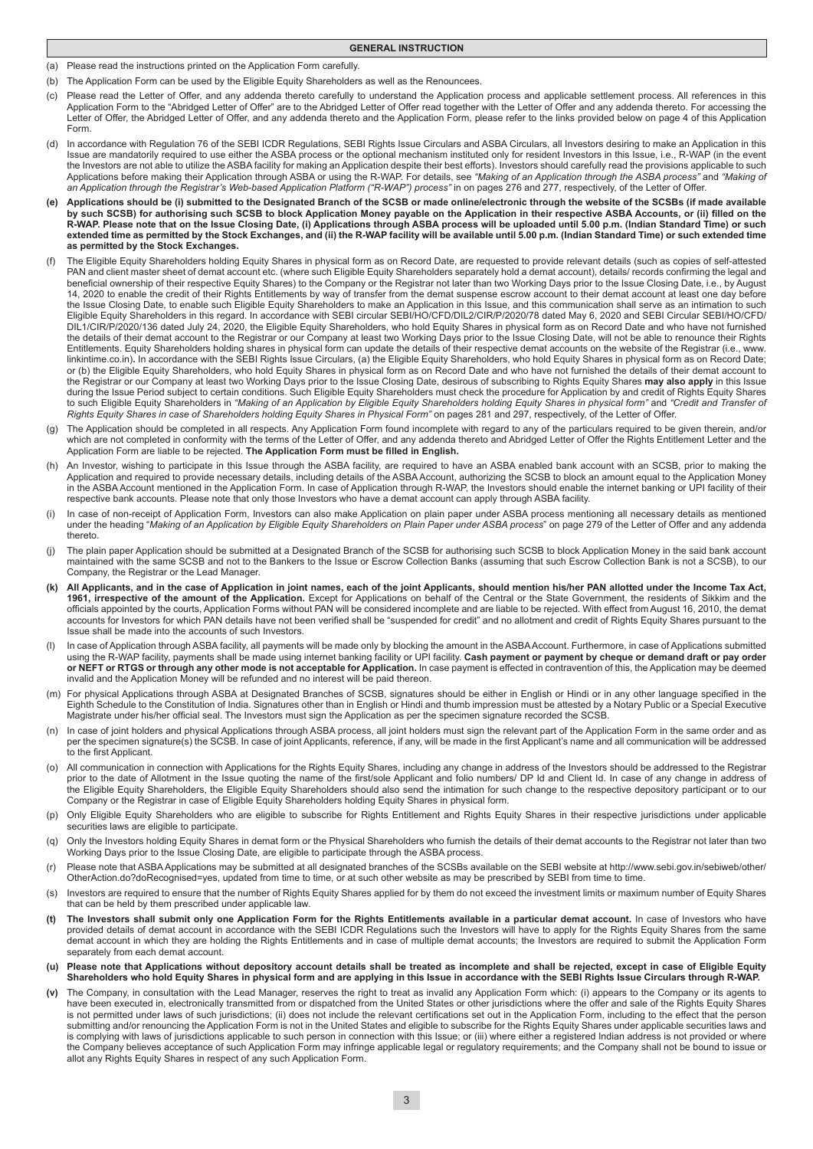- **GENERAL INSTRUCTION**
- (a) Please read the instructions printed on the Application Form carefully.
- (b) The Application Form can be used by the Eligible Equity Shareholders as well as the Renouncees.
- (c) Please read the Letter of Offer, and any addenda thereto carefully to understand the Application process and applicable settlement process. All references in this Application Form to the "Abridged Letter of Offer" are to the Abridged Letter of Offer read together with the Letter of Offer and any addenda thereto. For accessing the Letter of Offer, the Abridged Letter of Offer, and any addenda thereto and the Application Form, please refer to the links provided below on page 4 of this Application Form.
- (d) In accordance with Regulation 76 of the SEBI ICDR Regulations, SEBI Rights Issue Circulars and ASBA Circulars, all Investors desiring to make an Application in this Issue are mandatorily required to use either the ASBA process or the optional mechanism instituted only for resident Investors in this Issue, i.e., R-WAP (in the event the Investors are not able to utilize the ASBA facility for making an Application despite their best efforts). Investors should carefully read the provisions applicable to such Applications before making their Application through ASBA or using the R-WAP. For details, see *"Making of an Application through the ASBA process"* and *"Making of an Application through the Registrar's Web-based Application Platform ("R-WAP") process"* in on pages 276 and 277, respectively, of the Letter of Offer.
- **(e) Applications should be (i) submitted to the Designated Branch of the SCSB or made online/electronic through the website of the SCSBs (if made available**  by such SCSB) for authorising such SCSB to block Application Money payable on the Application in their respective ASBA Accounts, or (ii) filled on the **R-WAP. Please note that on the Issue Closing Date, (i) Applications through ASBA process will be uploaded until 5.00 p.m. (Indian Standard Time) or such extended time as permitted by the Stock Exchanges, and (ii) the R-WAP facility will be available until 5.00 p.m. (Indian Standard Time) or such extended time as permitted by the Stock Exchanges.**
- (f) The Eligible Equity Shareholders holding Equity Shares in physical form as on Record Date, are requested to provide relevant details (such as copies of self-attested PAN and client master sheet of demat account etc. (where such Eligible Equity Shareholders separately hold a demat account), details/ records confirming the legal and beneficial ownership of their respective Equity Shares) to the Company or the Registrar not later than two Working Days prior to the Issue Closing Date, i.e., by August 14, 2020 to enable the credit of their Rights Entitlements by way of transfer from the demat suspense escrow account to their demat account at least one day before the Issue Closing Date, to enable such Eligible Equity Shareholders to make an Application in this Issue, and this communication shall serve as an intimation to such Eligible Equity Shareholders in this regard. In accordance with SEBI circular SEBI/HO/CFD/DIL2/CIR/P/2020/78 dated May 6, 2020 and SEBI Circular SEBI/HO/CFD/ DIL1/CIR/P/2020/136 dated July 24, 2020, the Eligible Equity Shareholders, who hold Equity Shares in physical form as on Record Date and who have not furnished the details of their demat account to the Registrar or our Company at least two Working Days prior to the Issue Closing Date, will not be able to renounce their Rights Entitlements. Equity Shareholders holding shares in physical form can update the details of their respective demat accounts on the website of the Registrar (i.e., www. linkintime.co.in)**.** In accordance with the SEBI Rights Issue Circulars, (a) the Eligible Equity Shareholders, who hold Equity Shares in physical form as on Record Date; or (b) the Eligible Equity Shareholders, who hold Equity Shares in physical form as on Record Date and who have not furnished the details of their demat account to the Registrar or our Company at least two Working Days prior to the Issue Closing Date, desirous of subscribing to Rights Equity Shares **may also apply** in this Issue during the Issue Period subject to certain conditions. Such Eligible Equity Shareholders must check the procedure for Application by and credit of Rights Equity Shares to such Eligible Equity Shareholders in *"Making of an Application by Eligible Equity Shareholders holding Equity Shares in physical form"* and *"Credit and Transfer of Rights Equity Shares in case of Shareholders holding Equity Shares in Physical Form"* on pages 281 and 297, respectively, of the Letter of Offer.
- (g) The Application should be completed in all respects. Any Application Form found incomplete with regard to any of the particulars required to be given therein, and/or which are not completed in conformity with the terms of the Letter of Offer, and any addenda thereto and Abridged Letter of Offer the Rights Entitlement Letter and the Application Form are liable to be rejected. **The Application Form must be filled in English.**
- (h) An Investor, wishing to participate in this Issue through the ASBA facility, are required to have an ASBA enabled bank account with an SCSB, prior to making the Application and required to provide necessary details, including details of the ASBA Account, authorizing the SCSB to block an amount equal to the Application Money in the ASBA Account mentioned in the Application Form. In case of Application through R-WAP, the Investors should enable the internet banking or UPI facility of their respective bank accounts. Please note that only those Investors who have a demat account can apply through ASBA facility.
- (i) In case of non-receipt of Application Form, Investors can also make Application on plain paper under ASBA process mentioning all necessary details as mentioned under the heading "*Making of an Application by Eligible Equity Shareholders on Plain Paper under ASBA process*" on page 279 of the Letter of Offer and any addenda thereto.
- (j) The plain paper Application should be submitted at a Designated Branch of the SCSB for authorising such SCSB to block Application Money in the said bank account maintained with the same SCSB and not to the Bankers to the Issue or Escrow Collection Banks (assuming that such Escrow Collection Bank is not a SCSB), to our Company, the Registrar or the Lead Manager.
- (k) All Applicants, and in the case of Application in joint names, each of the joint Applicants, should mention his/her PAN allotted under the Income Tax Act,<br>1961, irrespective of the amount of the Application. Except for officials appointed by the courts, Application Forms without PAN will be considered incomplete and are liable to be rejected. With effect from August 16, 2010, the demat accounts for Investors for which PAN details have not been verified shall be "suspended for credit" and no allotment and credit of Rights Equity Shares pursuant to the Issue shall be made into the accounts of such Investors.
- In case of Application through ASBA facility, all payments will be made only by blocking the amount in the ASBA Account. Furthermore, in case of Applications submitted using the R-WAP facility, payments shall be made using internet banking facility or UPI facility. **Cash payment or payment by cheque or demand draft or pay order or NEFT or RTGS or through any other mode is not acceptable for Application.** In case payment is effected in contravention of this, the Application may be deemed invalid and the Application Money will be refunded and no interest will be paid thereon.
- (m) For physical Applications through ASBA at Designated Branches of SCSB, signatures should be either in English or Hindi or in any other language specified in the Eighth Schedule to the Constitution of India. Signatures other than in English or Hindi and thumb impression must be attested by a Notary Public or a Special Executive Magistrate under his/her official seal. The Investors must sign the Application as per the specimen signature recorded the SCSB.
- (n) In case of joint holders and physical Applications through ASBA process, all joint holders must sign the relevant part of the Application Form in the same order and as per the specimen signature(s) the SCSB. In case of joint Applicants, reference, if any, will be made in the first Applicant's name and all communication will be addressed to the first Applicant.
- (o) All communication in connection with Applications for the Rights Equity Shares, including any change in address of the Investors should be addressed to the Registrar prior to the date of Allotment in the Issue quoting the name of the first/sole Applicant and folio numbers/ DP Id and Client Id. In case of any change in address of the Eligible Equity Shareholders, the Eligible Equity Shareholders should also send the intimation for such change to the respective depository participant or to our Company or the Registrar in case of Eligible Equity Shareholders holding Equity Shares in physical form.
- (p) Only Eligible Equity Shareholders who are eligible to subscribe for Rights Entitlement and Rights Equity Shares in their respective jurisdictions under applicable securities laws are eligible to participate.
- (q) Only the Investors holding Equity Shares in demat form or the Physical Shareholders who furnish the details of their demat accounts to the Registrar not later than two Working Days prior to the Issue Closing Date, are eligible to participate through the ASBA process.
- (r) Please note that ASBA Applications may be submitted at all designated branches of the SCSBs available on the SEBI website at http://www.sebi.gov.in/sebiweb/other/ OtherAction.do?doRecognised=yes, updated from time to time, or at such other website as may be prescribed by SEBI from time to time.
- (s) Investors are required to ensure that the number of Rights Equity Shares applied for by them do not exceed the investment limits or maximum number of Equity Shares that can be held by them prescribed under applicable law.
- **(t) The Investors shall submit only one Application Form for the Rights Entitlements available in a particular demat account.** In case of Investors who have provided details of demat account in accordance with the SEBI ICDR Regulations such the Investors will have to apply for the Rights Equity Shares from the same demat account in which they are holding the Rights Entitlements and in case of multiple demat accounts; the Investors are required to submit the Application Form separately from each demat account.
- **(u) Please note that Applications without depository account details shall be treated as incomplete and shall be rejected, except in case of Eligible Equity Shareholders who hold Equity Shares in physical form and are applying in this Issue in accordance with the SEBI Rights Issue Circulars through R-WAP.**
- v) The Company, in consultation with the Lead Manager, reserves the right to treat as invalid any Application Form which: (i) appears to the Company or its agents to<br>have been executed in, electronically transmitted from o is not permitted under laws of such jurisdictions; (ii) does not include the relevant certifications set out in the Application Form, including to the effect that the person submitting and/or renouncing the Application Form is not in the United States and eligible to subscribe for the Rights Equity Shares under applicable securities laws and is complying with laws of jurisdictions applicable to such person in connection with this Issue; or (iii) where either a registered Indian address is not provided or where the Company believes acceptance of such Application Form may infringe applicable legal or regulatory requirements; and the Company shall not be bound to issue or allot any Rights Equity Shares in respect of any such Application Form.